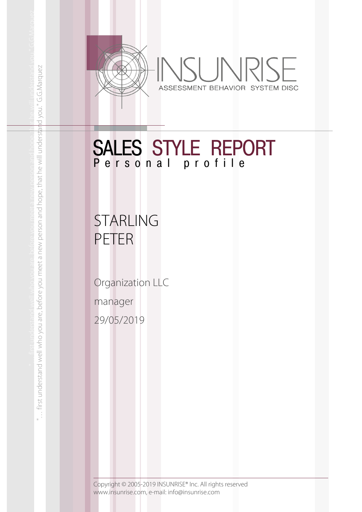

# SALES STYLE REPORT P e r s o n a l p r o f i l e

STARLING PETER

"… first understand well who you are, before you meet a new person and hope, that he will understand you." G.G.Marquez

"... first understand well who you are, before you meet a new person and hope, that he will understand you." G.G.Marquez

"… first understand well who you are, before you meet a new person and hope, that he will understand you." G.G.Marquez

Organization LLC manager 29/05/2019

Copyright © 2005-2019 INSUNRISE® Inc. All rights reserved www.insunrise.com, e-mail: info@insunrise.com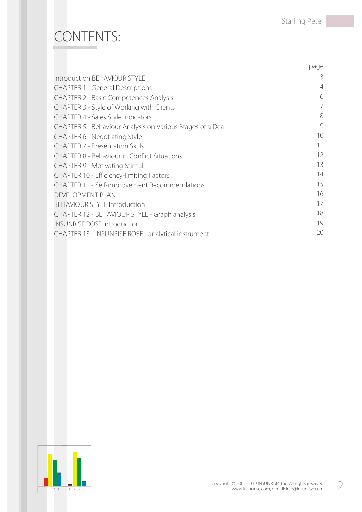# CONTENTS:

|                                                            | page           |
|------------------------------------------------------------|----------------|
| Introduction BEHAVIOUR STYLE                               | 3              |
| <b>CHAPTER 1 - General Descriptions</b>                    | $\overline{4}$ |
| <b>CHAPTER 2 - Basic Competences Analysis</b>              | 6              |
| <b>CHAPTER 3 - Style of Working with Clients</b>           | 7              |
| <b>CHAPTER 4 - Sales Style Indicators</b>                  | 8              |
| CHAPTER 5 - Behaviour Analysis on Various Stages of a Deal | 9              |
| <b>CHAPTER 6 - Negotiating Style</b>                       | 10             |
| <b>CHAPTER 7 - Presentation Skills</b>                     | 11             |
| <b>CHAPTER 8 - Behaviour in Conflict Situations</b>        | 12             |
| <b>CHAPTER 9 - Motivating Stimuli</b>                      | 13             |
| <b>CHAPTER 10 - Efficiency-limiting Factors</b>            | 14             |
| CHAPTER 11 - Self-improvement Recommendations              | 15             |
| DEVELOPMENT PLAN                                           | 16             |
| <b>BEHAVIOUR STYLE Introduction</b>                        | 17             |
| CHAPTER 12 - BEHAVIOUR STYLE - Graph analysis              | 18             |
| <b>INSUNRISE ROSE Introduction</b>                         | 19             |
| CHAPTER 13 - INSUNRISE ROSE - analytical instrument        | 20             |

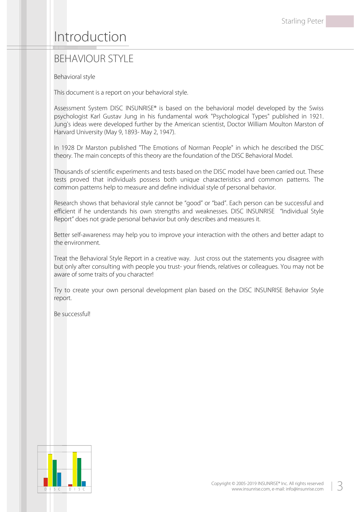# Introduction

### BEHAVIOUR STYLE

Behavioral style

This document is a report on your behavioral style.

Assessment System DISC INSUNRISE® is based on the behavioral model developed by the Swiss psychologist Karl Gustav Jung in his fundamental work "Psychological Types" published in 1921. Jung's ideas were developed further by the American scientist, Doctor William Moulton Marston of Harvard University (May 9, 1893- May 2, 1947).

In 1928 Dr Marston published "The Emotions of Norman People" in which he described the DISC theory. The main concepts of this theory are the foundation of the DISC Behavioral Model.

Thousands of scientific experiments and tests based on the DISC model have been carried out. These tests proved that individuals possess both unique characteristics and common patterns. The common patterns help to measure and define individual style of personal behavior.

Research shows that behavioral style cannot be "good" or "bad". Each person can be successful and efficient if he understands his own strengths and weaknesses. DISC INSUNRISE "Individual Style Report" does not grade personal behavior but only describes and measures it.

Better self-awareness may help you to improve your interaction with the others and better adapt to the environment.

Treat the Behavioral Style Report in a creative way. Just cross out the statements you disagree with but only after consulting with people you trust- your friends, relatives or colleagues. You may not be aware of some traits of you character!

Try to create your own personal development plan based on the DISC INSUNRISE Behavior Style report.

Be successful!

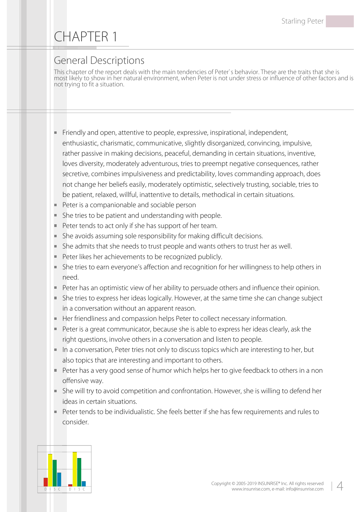### General Descriptions

This chapter of the report deals with the main tendencies of Peter`s behavior. These are the traits that she is most likely to show in her natural environment, when Peter is not under stress or influence of other factors and is not trying to fit a situation.

- Friendly and open, attentive to people, expressive, inspirational, independent, enthusiastic, charismatic, communicative, slightly disorganized, convincing, impulsive, rather passive in making decisions, peaceful, demanding in certain situations, inventive, loves diversity, moderately adventurous, tries to preempt negative consequences, rather secretive, combines impulsiveness and predictability, loves commanding approach, does not change her beliefs easily, moderately optimistic, selectively trusting, sociable, tries to be patient, relaxed, willful, inattentive to details, methodical in certain situations.
- Peter is a companionable and sociable person
- She tries to be patient and understanding with people.
- Peter tends to act only if she has support of her team.
- She avoids assuming sole responsibility for making difficult decisions.
- She admits that she needs to trust people and wants others to trust her as well.
- Peter likes her achievements to be recognized publicly.
- She tries to earn everyone's affection and recognition for her willingness to help others in need.
- Peter has an optimistic view of her ability to persuade others and influence their opinion.
- She tries to express her ideas logically. However, at the same time she can change subject in a conversation without an apparent reason.
- Her friendliness and compassion helps Peter to collect necessary information.
- Peter is a great communicator, because she is able to express her ideas clearly, ask the right questions, involve others in a conversation and listen to people.
- $\blacksquare$  In a conversation, Peter tries not only to discuss topics which are interesting to her, but also topics that are interesting and important to others.
- Peter has a very good sense of humor which helps her to give feedback to others in a non offensive way.
- She will try to avoid competition and confrontation. However, she is willing to defend her ideas in certain situations.
- Peter tends to be individualistic. She feels better if she has few requirements and rules to consider.

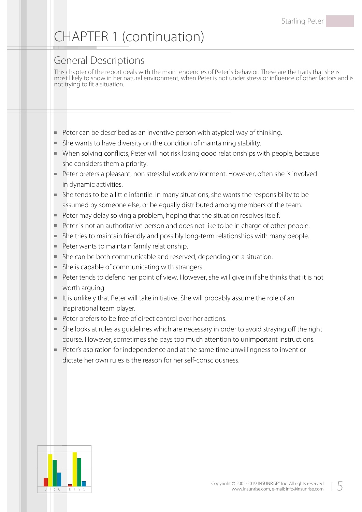#### General Descriptions

This chapter of the report deals with the main tendencies of Peter`s behavior. These are the traits that she is most likely to show in her natural environment, when Peter is not under stress or influence of other factors and is not trying to fit a situation.

- Peter can be described as an inventive person with atypical way of thinking.
- She wants to have diversity on the condition of maintaining stability.
- When solving conflicts, Peter will not risk losing good relationships with people, because she considers them a priority.
- **Peter prefers a pleasant, non stressful work environment. However, often she is involved** in dynamic activities.
- $\blacksquare$  She tends to be a little infantile. In many situations, she wants the responsibility to be assumed by someone else, or be equally distributed among members of the team.
- Peter may delay solving a problem, hoping that the situation resolves itself.
- Peter is not an authoritative person and does not like to be in charge of other people.
- She tries to maintain friendly and possibly long-term relationships with many people.
- Peter wants to maintain family relationship.
- She can be both communicable and reserved, depending on a situation.
- She is capable of communicating with strangers.
- Peter tends to defend her point of view. However, she will give in if she thinks that it is not worth arguing.
- It is unlikely that Peter will take initiative. She will probably assume the role of an inspirational team player.
- Peter prefers to be free of direct control over her actions.
- She looks at rules as guidelines which are necessary in order to avoid straying off the right course. However, sometimes she pays too much attention to unimportant instructions.
- **Peter's aspiration for independence and at the same time unwillingness to invent or** dictate her own rules is the reason for her self-consciousness.

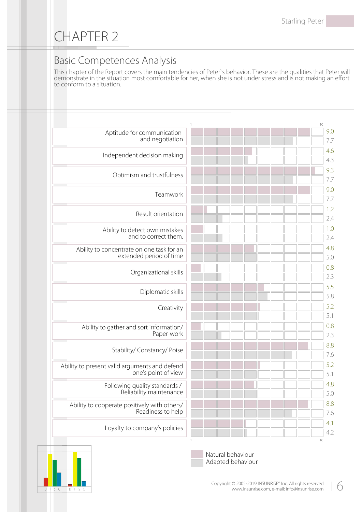### Basic Competences Analysis

This chapter of the Report covers the main tendencies of Peter`s behavior. These are the qualities that Peter will demonstrate in the situation most comfortable for her, when she is not under stress and is not making an effort to conform to a situation.

|                                                                      |  |  |  |  | 10         |
|----------------------------------------------------------------------|--|--|--|--|------------|
| Aptitude for communication                                           |  |  |  |  | 9.0        |
| and negotiation                                                      |  |  |  |  | 7.7        |
| Independent decision making                                          |  |  |  |  | 4.6<br>4.3 |
|                                                                      |  |  |  |  | 9.3        |
| Optimism and trustfulness                                            |  |  |  |  | 7.7        |
|                                                                      |  |  |  |  | 9.0        |
| Teamwork                                                             |  |  |  |  | 7.7        |
| Result orientation                                                   |  |  |  |  | 1.2        |
|                                                                      |  |  |  |  | 2.4        |
| Ability to detect own mistakes                                       |  |  |  |  | 1.0        |
| and to correct them.                                                 |  |  |  |  | 2.4        |
| Ability to concentrate on one task for an<br>extended period of time |  |  |  |  | 4.8<br>5.0 |
|                                                                      |  |  |  |  | 0.8        |
| Organizational skills                                                |  |  |  |  | 2.3        |
|                                                                      |  |  |  |  | 5.5        |
| Diplomatic skills                                                    |  |  |  |  | 5.8        |
| Creativity                                                           |  |  |  |  |            |
|                                                                      |  |  |  |  |            |
| Ability to gather and sort information/                              |  |  |  |  | 0.8        |
| Paper-work                                                           |  |  |  |  | 2.3        |
| Stability/ Constancy/ Poise                                          |  |  |  |  | 8.8        |
|                                                                      |  |  |  |  | 7.6<br>5.2 |
| Ability to present valid arguments and defend<br>one's point of view |  |  |  |  | 5.1        |
| Following quality standards /                                        |  |  |  |  | 4.8        |
| Reliability maintenance                                              |  |  |  |  |            |
| Ability to cooperate positively with others/                         |  |  |  |  | 8.8        |
| Readiness to help                                                    |  |  |  |  |            |
| Loyalty to company's policies                                        |  |  |  |  | 4.1        |
|                                                                      |  |  |  |  | 4.2<br>10  |





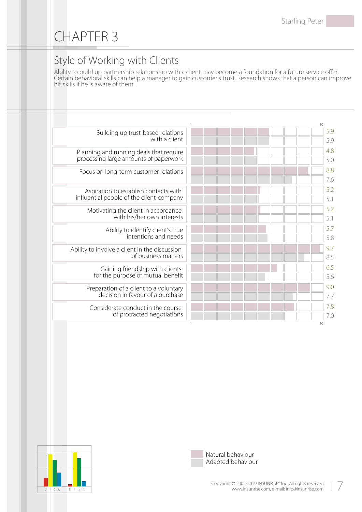### Style of Working with Clients

Ability to build up partnership relationship with a client may become a foundation for a future service offer. Certain behavioral skills can help a manager to gain customer's trust. Research shows that a person can improve his skills if he is aware of them.

|                                                    | 10         |
|----------------------------------------------------|------------|
| Building up trust-based relations<br>with a client | 5.9<br>5.9 |
| Planning and running deals that require            | 4.8        |
| processing large amounts of paperwork              | 5.0        |
| Focus on long-term customer relations              | 8.8        |
|                                                    | 7.6        |
| Aspiration to establish contacts with              | 5.2        |
| influential people of the client-company           | 5.1        |
| Motivating the client in accordance                | 5.2        |
| with his/her own interests                         | 5.1        |
| Ability to identify client's true                  | 5.7        |
| intentions and needs                               | 5.8        |
| Ability to involve a client in the discussion      | 9.7        |
| of business matters                                | 8.5        |
| Gaining friendship with clients                    | 6.5        |
| for the purpose of mutual benefit                  | 5.6        |
| Preparation of a client to a voluntary             | 9.0        |
| decision in favour of a purchase                   | 7.7        |
| Considerate conduct in the course                  | 7.8        |
| of protracted negotiations                         | 7.0        |
|                                                    | 10         |



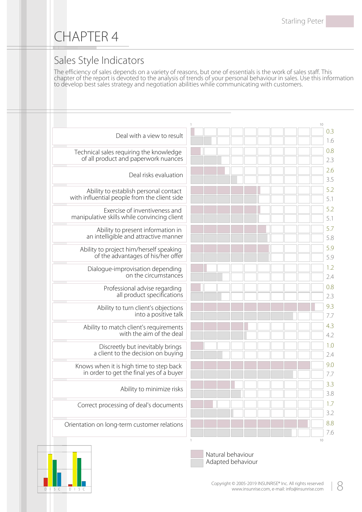### Sales Style Indicators

The efficiency of sales depends on a variety of reasons, but one of essentials is the work of sales staff. This chapter of the report is devoted to the analysis of trends of your personal behaviour in sales. Use this information to develop best sales strategy and negotiation abilities while communicating with customers.

| Deal with a view to result                                                            |  |  |  |  |  |
|---------------------------------------------------------------------------------------|--|--|--|--|--|
| Technical sales requiring the knowledge<br>of all product and paperwork nuances       |  |  |  |  |  |
| Deal risks evaluation                                                                 |  |  |  |  |  |
| Ability to establish personal contact<br>with influential people from the client side |  |  |  |  |  |
| Exercise of inventiveness and<br>manipulative skills while convincing client          |  |  |  |  |  |
| Ability to present information in<br>an intelligible and attractive manner            |  |  |  |  |  |
| Ability to project him/herself speaking<br>of the advantages of his/her offer         |  |  |  |  |  |
| Dialogue-improvisation depending<br>on the circumstances                              |  |  |  |  |  |
| Professional advise regarding<br>all product specifications                           |  |  |  |  |  |
| Ability to turn client's objections<br>into a positive talk                           |  |  |  |  |  |
| Ability to match client's requirements<br>with the aim of the deal                    |  |  |  |  |  |
| Discreetly but inevitably brings<br>a client to the decision on buying                |  |  |  |  |  |
| Knows when it is high time to step back<br>in order to get the final yes of a buyer   |  |  |  |  |  |
| Ability to minimize risks                                                             |  |  |  |  |  |
| Correct processing of deal's documents                                                |  |  |  |  |  |
| Orientation on long-term customer relations                                           |  |  |  |  |  |

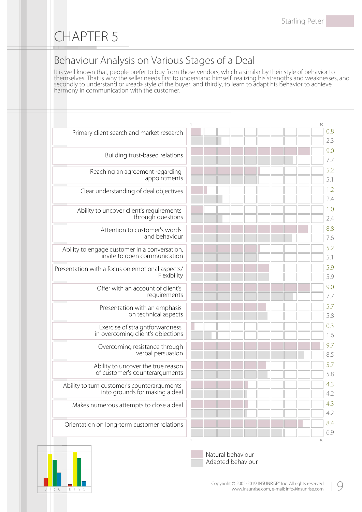### Behaviour Analysis on Various Stages of a Deal

It is well known that, people prefer to buy from those vendors, which a similar by their style of behavior to themselves. That is why the seller needs first to understand himself, realizing his strengths and weaknesses, and secondly to understand or «read» style of the buyer, and thirdly, to learn to adapt his behavior to achieve harmony in communication with the customer.

|                                                 |  |  |  |  | 10        |
|-------------------------------------------------|--|--|--|--|-----------|
| Primary client search and market research       |  |  |  |  | 0.8       |
|                                                 |  |  |  |  | 2.3       |
| Building trust-based relations                  |  |  |  |  | 9.0       |
|                                                 |  |  |  |  | 7.7       |
| Reaching an agreement regarding                 |  |  |  |  | 5.2       |
| appointments                                    |  |  |  |  | 5.1       |
| Clear understanding of deal objectives          |  |  |  |  | 1.2       |
|                                                 |  |  |  |  | 2.4       |
| Ability to uncover client's requirements        |  |  |  |  | 1.0       |
| through questions                               |  |  |  |  | 2.4       |
| Attention to customer's words                   |  |  |  |  | 8.8       |
| and behaviour                                   |  |  |  |  | 7.6       |
| Ability to engage customer in a conversation,   |  |  |  |  | 5.2       |
| invite to open communication                    |  |  |  |  | 5.1       |
| Presentation with a focus on emotional aspects/ |  |  |  |  | 5.9       |
| Flexibility                                     |  |  |  |  | 5.9       |
| Offer with an account of client's               |  |  |  |  | 9.0       |
| requirements                                    |  |  |  |  | 7.7       |
| Presentation with an emphasis                   |  |  |  |  | 5.7       |
| on technical aspects                            |  |  |  |  | 5.8       |
| Exercise of straightforwardness                 |  |  |  |  | 0.3       |
| in overcoming client's objections               |  |  |  |  | 1.6       |
| Overcoming resistance through                   |  |  |  |  | 9.7       |
| verbal persuasion                               |  |  |  |  | 8.5       |
| Ability to uncover the true reason              |  |  |  |  | 5.7       |
| of customer's counterarguments                  |  |  |  |  | 5.8       |
| Ability to turn customer's counterarguments     |  |  |  |  | 4.3       |
| into grounds for making a deal                  |  |  |  |  | 4.2       |
| Makes numerous attempts to close a deal         |  |  |  |  | 4.3       |
|                                                 |  |  |  |  | 4.2       |
| Orientation on long-term customer relations     |  |  |  |  | 8.4       |
|                                                 |  |  |  |  | 6.9<br>10 |



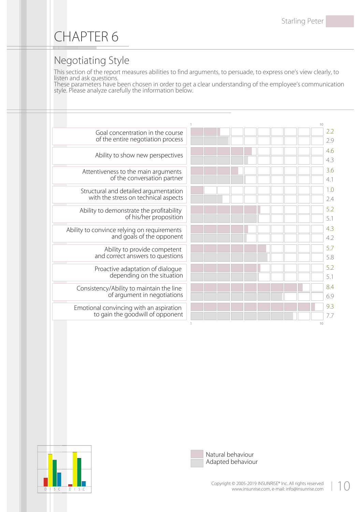### Negotiating Style

This section of the report measures abilities to find arguments, to persuade, to express one's view clearly, to listen and ask questions.

These parameters have been chosen in order to get a clear understanding of the employee's communication style. Please analyze carefully the information below.

|                                             | 10  |
|---------------------------------------------|-----|
| Goal concentration in the course            | 2.2 |
| of the entire negotiation process           | 2.9 |
| Ability to show new perspectives            | 4.6 |
|                                             | 4.3 |
| Attentiveness to the main arguments         | 3.6 |
| of the conversation partner                 | 4.1 |
| Structural and detailed argumentation       | 1.0 |
| with the stress on technical aspects        | 2.4 |
| Ability to demonstrate the profitability    | 5.2 |
| of his/her proposition                      | 5.1 |
| Ability to convince relying on requirements | 4.3 |
| and goals of the opponent                   | 4.2 |
| Ability to provide competent                | 5.7 |
| and correct answers to questions            | 5.8 |
| Proactive adaptation of dialogue            | 5.2 |
| depending on the situation                  | 5.1 |
| Consistency/Ability to maintain the line    | 8.4 |
| of argument in negotiations                 | 6.9 |
| Emotional convincing with an aspiration     | 9.3 |
| to gain the goodwill of opponent            | 7.7 |
|                                             | 10  |



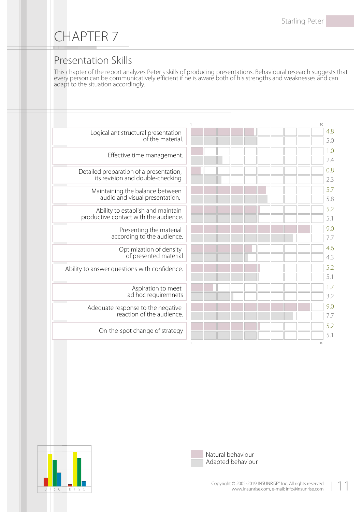#### Presentation Skills

This chapter of the report analyzes Peter s skills of producing presentations. Behavioural research suggests that every person can be communicatively efficient if he is aware both of his strengths and weaknesses and can adapt to the situation accordingly.

|                                              |  |  |  | 10 |
|----------------------------------------------|--|--|--|----|
| Logical ant structural presentation          |  |  |  |    |
| of the material.                             |  |  |  |    |
|                                              |  |  |  |    |
| Effective time management.                   |  |  |  |    |
| Detailed preparation of a presentation,      |  |  |  |    |
| its revision and double-checking             |  |  |  |    |
| Maintaining the balance between              |  |  |  |    |
| audio and visual presentation.               |  |  |  |    |
| Ability to establish and maintain            |  |  |  |    |
| productive contact with the audience.        |  |  |  |    |
| Presenting the material                      |  |  |  |    |
| according to the audience.                   |  |  |  |    |
| Optimization of density                      |  |  |  |    |
| of presented material                        |  |  |  |    |
| Ability to answer questions with confidence. |  |  |  |    |
|                                              |  |  |  |    |
| Aspiration to meet                           |  |  |  |    |
| ad hoc requiremnets                          |  |  |  |    |
| Adequate response to the negative            |  |  |  |    |
| reaction of the audience.                    |  |  |  |    |
|                                              |  |  |  |    |
| On-the-spot change of strategy               |  |  |  |    |



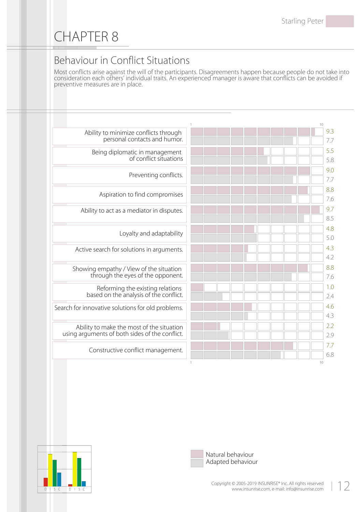### Behaviour in Conflict Situations

Most conflicts arise against the will of the participants. Disagreements happen because people do not take into consideration each others' individual traits. An experienced manager is aware that conflicts can be avoided if preventive measures are in place.







Copyright © 2005-2019 INSUNRISE® Inc. All rights reserved www.insunrise.com, e-mail: info@insunrise.com 12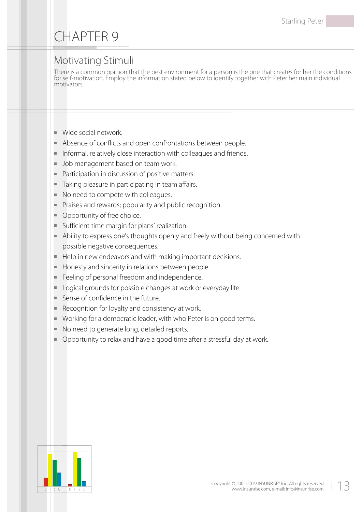#### Motivating Stimuli

There is a common opinion that the best environment for a person is the one that creates for her the conditions for self-motivation. Employ the information stated below to identify together with Peter her main individual motivators.

- Wide social network.
- Absence of conflicts and open confrontations between people.
- Informal, relatively close interaction with colleagues and friends.  $\mathbb{R}^2$
- Job management based on team work. п
- Participation in discussion of positive matters. m.
- Taking pleasure in participating in team affairs.
- No need to compete with colleagues.
- **Praises and rewards; popularity and public recognition.**
- **Opportunity of free choice.**
- Sufficient time margin for plans' realization.
- Ability to express one's thoughts openly and freely without being concerned with possible negative consequences.
- Help in new endeavors and with making important decisions.
- Honesty and sincerity in relations between people.
- Feeling of personal freedom and independence.
- Logical grounds for possible changes at work or everyday life.
- Sense of confidence in the future.
- Recognition for loyalty and consistency at work.
- Working for a democratic leader, with who Peter is on good terms.
- No need to generate long, detailed reports.  $\blacksquare$
- Opportunity to relax and have a good time after a stressful day at work.

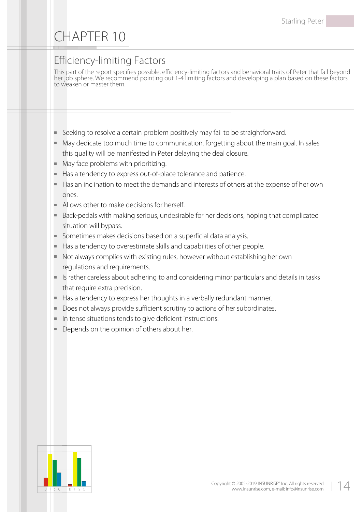### Efficiency-limiting Factors

This part of the report specifies possible, efficiency-limiting factors and behavioral traits of Peter that fall beyond her job sphere. We recommend pointing out 1-4 limiting factors and developing a plan based on these factors to weaken or master them.

- Seeking to resolve a certain problem positively may fail to be straightforward.
- May dedicate too much time to communication, forgetting about the main goal. In sales this quality will be manifested in Peter delaying the deal closure.
- May face problems with prioritizing.
- Has a tendency to express out-of-place tolerance and patience.
- Has an inclination to meet the demands and interests of others at the expense of her own ones.
- Allows other to make decisions for herself
- **Back-pedals with making serious, undesirable for her decisions, hoping that complicated** situation will bypass.
- Sometimes makes decisions based on a superficial data analysis.
- Has a tendency to overestimate skills and capabilities of other people.
- Not always complies with existing rules, however without establishing her own regulations and requirements.
- In Is rather careless about adhering to and considering minor particulars and details in tasks that require extra precision.
- Has a tendency to express her thoughts in a verbally redundant manner.
- Does not always provide sufficient scrutiny to actions of her subordinates.
- In tense situations tends to give deficient instructions.
- Depends on the opinion of others about her.

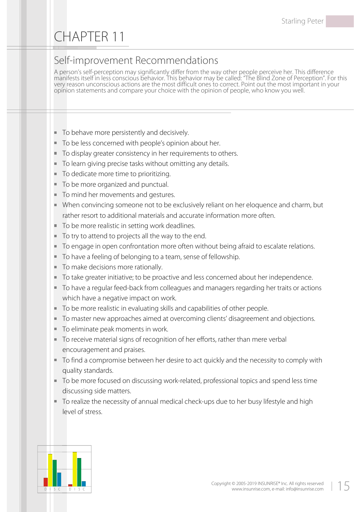### Self-improvement Recommendations

A person's self-perception may significantly differ from the way other people perceive her. This difference manifests itself in less conscious behavior. This behavior may be called: "The Blind Zone of Perception". For this very reason unconscious actions are the most difficult ones to correct. Point out the most important in your opinion statements and compare your choice with the opinion of people, who know you well.

- $\blacksquare$  To behave more persistently and decisively.
- To be less concerned with people's opinion about her.
- To display greater consistency in her requirements to others.
- To learn giving precise tasks without omitting any details.
- To dedicate more time to prioritizing.
- To be more organized and punctual.
- To mind her movements and gestures.
- When convincing someone not to be exclusively reliant on her eloquence and charm, but rather resort to additional materials and accurate information more often.
- To be more realistic in setting work deadlines.
- To try to attend to projects all the way to the end.
- To engage in open confrontation more often without being afraid to escalate relations.
- To have a feeling of belonging to a team, sense of fellowship.
- $\blacksquare$  To make decisions more rationally.
- To take greater initiative; to be proactive and less concerned about her independence.
- $\blacksquare$  To have a regular feed-back from colleagues and managers regarding her traits or actions which have a negative impact on work.
- To be more realistic in evaluating skills and capabilities of other people.
- To master new approaches aimed at overcoming clients' disagreement and objections.
- To eliminate peak moments in work.
- To receive material signs of recognition of her efforts, rather than mere verbal encouragement and praises.
- $\blacksquare$  To find a compromise between her desire to act quickly and the necessity to comply with quality standards.
- To be more focused on discussing work-related, professional topics and spend less time discussing side matters.
- To realize the necessity of annual medical check-ups due to her busy lifestyle and high level of stress.

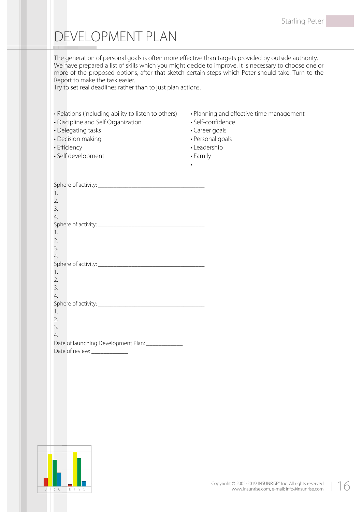# DEVELOPMENT PLAN

The generation of personal goals is often more effective than targets provided by outside authority. We have prepared a list of skills which you might decide to improve. It is necessary to choose one or more of the proposed options, after that sketch certain steps which Peter should take. Turn to the Report to make the task easier. Try to set real deadlines rather than to just plan actions. • Relations (including ability to listen to others) • Discipline and Self Organization • Delegating tasks • Decision making • Efficiency • Self development • Planning and effective time management • Self-confidence • Career goals • Personal goals • Leadership • Family • Sphere of activity: \_\_\_\_\_\_\_\_\_\_\_\_\_\_\_\_\_\_\_\_\_\_\_\_\_\_\_\_\_\_\_\_\_\_\_ 1. 2. 3. 4. Sphere of activity: \_\_\_\_\_\_\_\_\_\_\_\_\_\_\_\_\_\_\_\_\_\_\_\_\_\_\_\_\_\_\_\_\_\_\_ 1. 2. 3. 4. Sphere of activity: \_\_\_\_\_\_\_\_\_\_\_\_\_\_\_\_\_\_\_\_\_\_\_\_\_\_\_\_\_\_\_\_\_\_\_ 1. 2. 3. 4. Sphere of activity: 1. 2. 3. 4. Date of launching Development Plan: \_\_\_\_\_\_\_\_\_\_\_\_\_ Date of review:

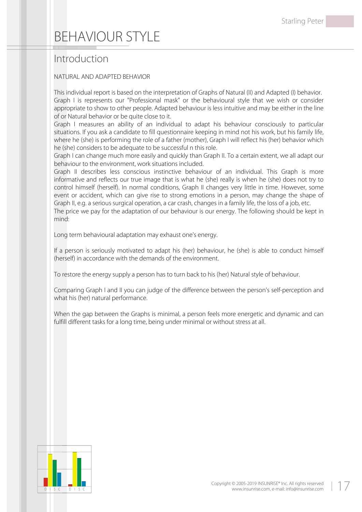# BEHAVIOUR STYLE

#### Introduction

#### NATURAL AND ADAPTED BEHAVIOR

This individual report is based on the interpretation of Graphs of Natural (II) and Adapted (I) behavior. Graph I is represents our "Professional mask" or the behavioural style that we wish or consider appropriate to show to other people. Adapted behaviour is less intuitive and may be either in the line of or Natural behavior or be quite close to it.

Graph I measures an ability of an individual to adapt his behaviour consciously to particular situations. If you ask a candidate to fill questionnaire keeping in mind not his work, but his family life, where he (she) is performing the role of a father (mother), Graph I will reflect his (her) behavior which he (she) considers to be adequate to be successful n this role.

Graph I can change much more easily and quickly than Graph II. To a certain extent, we all adapt our behaviour to the environment, work situations included.

Graph II describes less conscious instinctive behaviour of an individual. This Graph is more informative and reflects our true image that is what he (she) really is when he (she) does not try to control himself (herself). In normal conditions, Graph II changes very little in time. However, some event or accident, which can give rise to strong emotions in a person, may change the shape of Graph II, e.g. a serious surgical operation, a car crash, changes in a family life, the loss of a job, etc.

The price we pay for the adaptation of our behaviour is our energy. The following should be kept in mind:

Long term behavioural adaptation may exhaust one's energy.

If a person is seriously motivated to adapt his (her) behaviour, he (she) is able to conduct himself (herself) in accordance with the demands of the environment.

To restore the energy supply a person has to turn back to his (her) Natural style of behaviour.

Comparing Graph I and II you can judge of the difference between the person's self-perception and what his (her) natural performance.

When the gap between the Graphs is minimal, a person feels more energetic and dynamic and can fulfill different tasks for a long time, being under minimal or without stress at all.

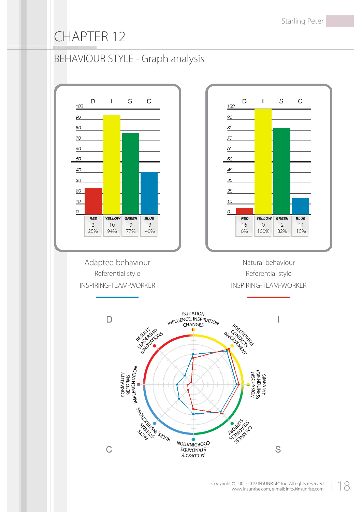### BEHAVIOUR STYLE - Graph analysis

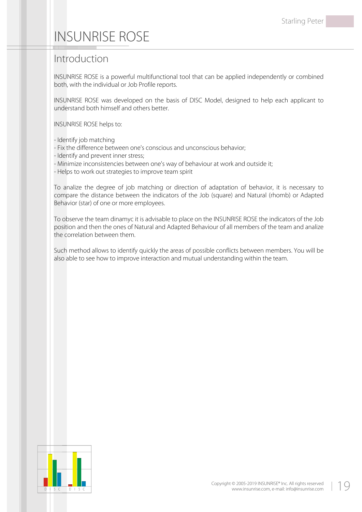# INSUNRISE ROSE

#### Introduction

INSUNRISE ROSE is a powerful multifunctional tool that can be applied independently or combined both, with the individual or Job Profile reports.

INSUNRISE ROSE was developed on the basis of DISC Model, designed to help each applicant to understand both himself and others better.

INSUNRISE ROSE helps to:

- Identify job matching
- Fix the difference between one's conscious and unconscious behavior;
- Identify and prevent inner stress;
- Minimize inconsistencies between one's way of behaviour at work and outside it;
- Helps to work out strategies to improve team spirit

To analize the degree of job matching or direction of adaptation of behavior, it is necessary to compare the distance between the indicators of the Job (square) and Natural (rhomb) or Adapted Behavior (star) of one or more employees.

To observe the team dinamyc it is advisable to place on the INSUNRISE ROSE the indicators of the Job position and then the ones of Natural and Adapted Behaviour of all members of the team and analize the correlation between them.

Such method allows to identify quickly the areas of possible conflicts between members. You will be also able to see how to improve interaction and mutual understanding within the team.